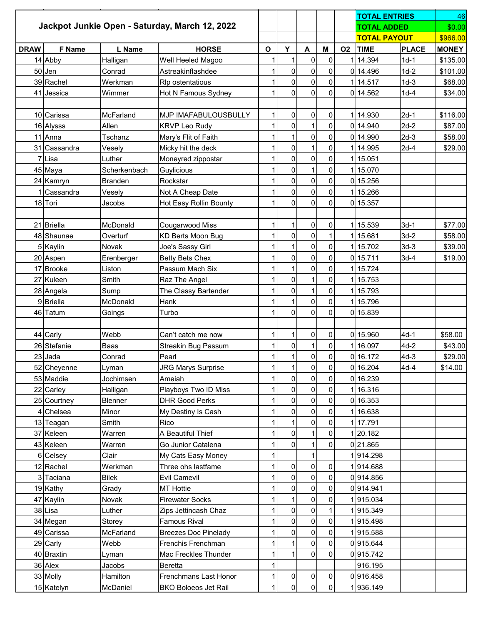| Jackpot Junkie Open - Saturday, March 12, 2022<br><b>TOTAL ADDED</b><br><b>TOTAL PAYOUT</b><br>Υ<br><b>TIME</b><br><b>PLACE</b><br><b>DRAW</b><br>L Name<br><b>HORSE</b><br>O<br><b>O2</b><br><b>F</b> Name<br>A<br>M<br>$\mathbf 0$<br>14 Abby<br>1 14.394<br>$1d-1$<br>Halligan<br>Well Heeled Magoo<br>1<br>0<br>0<br>$\mathbf 0$<br>$\mathbf 0$<br>0 14.496<br>$1d-2$<br>50 Jen<br>Conrad<br>1<br>Astreakinflashdee<br>$\mathsf{O}$<br>$\pmb{0}$<br>0<br>$1d-3$<br>39 Rachel<br>Werkman<br>Rlp ostentatious<br>114.517<br>1<br>$\overline{0}$<br>$\overline{0}$<br>$\Omega$<br>$1d-4$<br>0 14.562<br>Wimmer<br>Hot N Famous Sydney<br>$\mathbf{1}$<br>41 Jessica<br>$\mathsf{O}\xspace$<br>$2d-1$<br>10 Carissa<br>McFarland<br>0<br>$\pmb{0}$<br>1 14.930<br><b>MJP IMAFABULOUSBULLY</b><br>$\mathbf{1}$<br>0<br>$\pmb{0}$<br>0 14.940<br>$2d-2$<br>Allen<br>16 Alysss<br><b>KRVP Leo Rudy</b><br>$\mathbf{1}$<br>1<br>$\mathbf{1}$<br>$\mathbf 0$<br>$\mathbf 0$<br>$2d-3$<br>$\mathbf{1}$<br>0 14.990<br>11 Anna<br>Tschanz<br>Mary's Flit of Faith<br>0<br>$\pmb{0}$<br>31 Cassandra<br>1 14.995<br>$2d-4$<br>Vesely<br>Micky hit the deck<br>1<br>1<br>0<br>$\mathbf 0$<br>$\mathbf 0$<br>7Lisa<br>115.051<br>Luther<br>Moneyred zippostar<br>$\mathbf 1$<br>$\mathsf{O}\xspace$<br>$\pmb{0}$<br>$\mathbf{1}$<br>1<br>Guylicious<br>1 15.070<br>45 Maya<br>Scherkenbach<br>0<br>0<br>$\overline{0}$<br>24 Kamryn<br>0 15.256<br><b>Branden</b><br>Rockstar<br>1<br>$\mathbf 0$<br>$\mathbf 0$<br>$\pmb{0}$<br>1 Cassandra<br>1 15.266<br>Vesely<br>Not A Cheap Date<br>$\mathbf{1}$<br>$\mathbf 0$<br>$\mathbf 0$<br>0<br>1<br>0 15.357<br>18 Tori<br>Hot Easy Rollin Bounty<br>Jacobs<br>$\pmb{0}$<br>$\pmb{0}$<br>21 Briella<br>$\mathbf{1}$<br>1 15.539<br>$3d-1$<br>McDonald<br>Cougarwood Miss<br>1<br>0<br>$\mathbf 0$<br>$3d-2$<br>$\mathbf{1}$<br>48 Shaunae<br>Overturf<br><b>KD Berts Moon Bug</b><br>1<br>1 15.681<br>$\mathbf{1}$<br>0<br>$\pmb{0}$<br>$3d-3$<br>5 Kaylin<br>$\mathbf{1}$<br>1 15.702<br><b>Novak</b><br>Joe's Sassy Girl<br>0<br>$\mathsf 0$<br>$\pmb{0}$<br>0 15.711<br>$3d-4$<br>20 Aspen<br>Erenberger<br><b>Betty Bets Chex</b><br>1<br>$\mathbf{1}$<br>$\mathbf 0$<br>$\mathbf 0$<br>17 Brooke<br>Liston<br>Passum Mach Six<br>$\mathbf{1}$<br>1 15.724<br>0<br>$\mathbf 0$<br>27 Kuleen<br>Smith<br>Raz The Angel<br>$\mathbf 1$<br>115.753<br>1<br>0<br>$\pmb{0}$<br>1<br>115.793<br>28 Angela<br>Sump<br>The Classy Bartender<br>$\mathbf{1}$<br>$\mathbf{1}$<br>$\overline{0}$<br>$\pmb{0}$<br>9 Briella<br>McDonald<br>Hank<br>$\mathbf 1$<br>1 15.796<br>0<br>$\overline{0}$<br>$\mathbf 0$<br>0 15.839<br>46 Tatum<br>Turbo<br>1<br>Goings<br>$\pmb{0}$<br>$4d-1$<br>Webb<br>$\mathbf{1}$<br>$\mathbf 0$<br>0 15.960<br>\$58.00<br>44 Carly<br>$\mathbf{1}$<br>Can't catch me now<br>0<br>$\pmb{0}$<br>26 Stefanie<br>1<br>1 16.097<br>$4d-2$<br>1<br>Baas<br>Streakin Bug Passum<br>0<br>$\mathbf{1}$<br>$\mathbf 0$<br>Pearl<br>0 16.172<br>$4d-3$<br>23 Jada<br>1<br>Conrad<br>0 16.204<br>$4d-4$<br><b>JRG Marys Surprise</b><br>1<br>52 Cheyenne<br>$1\vert$<br>$\overline{0}$<br>$\overline{0}$<br>\$14.00<br>Lyman<br>$\mathsf{O}$<br>0<br>$\pmb{0}$<br>53 Maddie<br>0 16.239<br>Jochimsen<br>Ameiah<br>Playboys Two ID Miss<br>0<br>0<br>$\overline{0}$<br>1 16.316<br>22 Carley<br>Halligan<br>1<br>$\mathsf{O}$<br>$\mathbf 0$<br>$\pmb{0}$<br>0 16.353<br>Blenner<br><b>DHR Good Perks</b><br>25 Courtney<br>1<br>0<br>$\pmb{0}$<br>$\pmb{0}$<br>Minor<br>4 Chelsea<br>1 16.638<br>My Destiny Is Cash<br>1<br>Smith<br>$\overline{0}$<br>117.791<br>$\mathbf{1}$<br>0<br>13 Teagan<br>Rico<br>1<br>0<br>$\pmb{0}$<br>37 Keleen<br>A Beautiful Thief<br>1 20.182<br>Warren<br>1<br>$\overline{0}$<br>43 Keleen<br>Warren<br>0<br>0 21.865<br>Go Junior Catalena<br>1<br>6 Celsey<br>Clair<br>1914.298<br>My Cats Easy Money<br>1<br>$\mathbf 0$<br>12 Rachel<br>Werkman<br>0<br>1914.688<br>Three ohs lastfame<br>$\mathbf 0$<br>1<br>$\mathsf{O}$<br>$\mathbf 0$<br>$\overline{0}$<br><b>Bilek</b><br>3 Taciana<br>Evil Camevil<br>0914.856<br>1<br>0<br>19 Kathy<br>0<br>0914.941<br>Grady<br><b>MT Hottie</b><br>$\overline{0}$<br>$\mathbf{1}$<br>$\pmb{0}$<br>$\overline{0}$<br>47 Kaylin<br>Novak<br>1915.034<br><b>Firewater Socks</b><br>1<br>$\mathbf 0$<br>0<br>$\mathbf{1}$<br>1915.349<br>38 Lisa<br>Luther<br>Zips Jettincash Chaz<br>1<br>0<br>0<br>34 Megan<br>Famous Rival<br>$\overline{0}$<br>1915.498<br>Storey<br>1<br>$\mathsf{O}\xspace$<br>$\pmb{0}$<br>$\pmb{0}$<br>1915.588<br>49 Carissa<br>McFarland<br><b>Breezes Doc Pinelady</b><br>1<br>$\mathbf{1}$<br>$\mathbf 0$<br>$\pmb{0}$<br>29 Carly<br>Webb<br>0915.644<br>Frenchis Frenchman<br>1<br>0<br>$\pmb{0}$<br>0915.742<br>40 Braxtin<br>Mac Freckles Thunder<br>1<br>Lyman<br>36 Alex<br>916.195<br>Jacobs<br>Beretta<br>1<br>$\mathsf{O}\xspace$<br>33 Molly<br>Hamilton<br>$\pmb{0}$<br>$\pmb{0}$<br>0916.458<br>Frenchmans Last Honor<br>$\mathbf{1}$<br>$\mathsf{O}\xspace$<br>$\overline{0}$<br>0<br>15 Katelyn<br>1936.149<br>McDaniel<br>$\mathbf{1}$<br><b>BKO Boloeos Jet Rail</b> |  |  |  |  |  |  |  | <b>TOTAL ENTRIES</b> |  | 46           |
|-------------------------------------------------------------------------------------------------------------------------------------------------------------------------------------------------------------------------------------------------------------------------------------------------------------------------------------------------------------------------------------------------------------------------------------------------------------------------------------------------------------------------------------------------------------------------------------------------------------------------------------------------------------------------------------------------------------------------------------------------------------------------------------------------------------------------------------------------------------------------------------------------------------------------------------------------------------------------------------------------------------------------------------------------------------------------------------------------------------------------------------------------------------------------------------------------------------------------------------------------------------------------------------------------------------------------------------------------------------------------------------------------------------------------------------------------------------------------------------------------------------------------------------------------------------------------------------------------------------------------------------------------------------------------------------------------------------------------------------------------------------------------------------------------------------------------------------------------------------------------------------------------------------------------------------------------------------------------------------------------------------------------------------------------------------------------------------------------------------------------------------------------------------------------------------------------------------------------------------------------------------------------------------------------------------------------------------------------------------------------------------------------------------------------------------------------------------------------------------------------------------------------------------------------------------------------------------------------------------------------------------------------------------------------------------------------------------------------------------------------------------------------------------------------------------------------------------------------------------------------------------------------------------------------------------------------------------------------------------------------------------------------------------------------------------------------------------------------------------------------------------------------------------------------------------------------------------------------------------------------------------------------------------------------------------------------------------------------------------------------------------------------------------------------------------------------------------------------------------------------------------------------------------------------------------------------------------------------------------------------------------------------------------------------------------------------------------------------------------------------------------------------------------------------------------------------------------------------------------------------------------------------------------------------------------------------------------------------------------------------------------------------------------------------------------------------------------------------------------------------------------------------------------------------------------------------------------------------------------------------------------------------------------------------------------------------------------------------------------------------------------------------------------------------------------------------------------------------------------------------------------------------------------------------------------------------------------------------------------------------------------------------------------------------------------------------------------------------------------------------------------------------------------------------------------------------------------------------------------------------------------------------------------------------------------------------------------------------------------------------------------------------------------------------------------------------------------------------------------------------------------------|--|--|--|--|--|--|--|----------------------|--|--------------|
|                                                                                                                                                                                                                                                                                                                                                                                                                                                                                                                                                                                                                                                                                                                                                                                                                                                                                                                                                                                                                                                                                                                                                                                                                                                                                                                                                                                                                                                                                                                                                                                                                                                                                                                                                                                                                                                                                                                                                                                                                                                                                                                                                                                                                                                                                                                                                                                                                                                                                                                                                                                                                                                                                                                                                                                                                                                                                                                                                                                                                                                                                                                                                                                                                                                                                                                                                                                                                                                                                                                                                                                                                                                                                                                                                                                                                                                                                                                                                                                                                                                                                                                                                                                                                                                                                                                                                                                                                                                                                                                                                                                                                                                                                                                                                                                                                                                                                                                                                                                                                                                                                                                                           |  |  |  |  |  |  |  |                      |  | \$0.00       |
|                                                                                                                                                                                                                                                                                                                                                                                                                                                                                                                                                                                                                                                                                                                                                                                                                                                                                                                                                                                                                                                                                                                                                                                                                                                                                                                                                                                                                                                                                                                                                                                                                                                                                                                                                                                                                                                                                                                                                                                                                                                                                                                                                                                                                                                                                                                                                                                                                                                                                                                                                                                                                                                                                                                                                                                                                                                                                                                                                                                                                                                                                                                                                                                                                                                                                                                                                                                                                                                                                                                                                                                                                                                                                                                                                                                                                                                                                                                                                                                                                                                                                                                                                                                                                                                                                                                                                                                                                                                                                                                                                                                                                                                                                                                                                                                                                                                                                                                                                                                                                                                                                                                                           |  |  |  |  |  |  |  |                      |  | \$966.00     |
| \$135.00<br>\$101.00<br>\$68.00<br>\$34.00<br>\$116.00                                                                                                                                                                                                                                                                                                                                                                                                                                                                                                                                                                                                                                                                                                                                                                                                                                                                                                                                                                                                                                                                                                                                                                                                                                                                                                                                                                                                                                                                                                                                                                                                                                                                                                                                                                                                                                                                                                                                                                                                                                                                                                                                                                                                                                                                                                                                                                                                                                                                                                                                                                                                                                                                                                                                                                                                                                                                                                                                                                                                                                                                                                                                                                                                                                                                                                                                                                                                                                                                                                                                                                                                                                                                                                                                                                                                                                                                                                                                                                                                                                                                                                                                                                                                                                                                                                                                                                                                                                                                                                                                                                                                                                                                                                                                                                                                                                                                                                                                                                                                                                                                                    |  |  |  |  |  |  |  |                      |  | <b>MONEY</b> |
|                                                                                                                                                                                                                                                                                                                                                                                                                                                                                                                                                                                                                                                                                                                                                                                                                                                                                                                                                                                                                                                                                                                                                                                                                                                                                                                                                                                                                                                                                                                                                                                                                                                                                                                                                                                                                                                                                                                                                                                                                                                                                                                                                                                                                                                                                                                                                                                                                                                                                                                                                                                                                                                                                                                                                                                                                                                                                                                                                                                                                                                                                                                                                                                                                                                                                                                                                                                                                                                                                                                                                                                                                                                                                                                                                                                                                                                                                                                                                                                                                                                                                                                                                                                                                                                                                                                                                                                                                                                                                                                                                                                                                                                                                                                                                                                                                                                                                                                                                                                                                                                                                                                                           |  |  |  |  |  |  |  |                      |  |              |
|                                                                                                                                                                                                                                                                                                                                                                                                                                                                                                                                                                                                                                                                                                                                                                                                                                                                                                                                                                                                                                                                                                                                                                                                                                                                                                                                                                                                                                                                                                                                                                                                                                                                                                                                                                                                                                                                                                                                                                                                                                                                                                                                                                                                                                                                                                                                                                                                                                                                                                                                                                                                                                                                                                                                                                                                                                                                                                                                                                                                                                                                                                                                                                                                                                                                                                                                                                                                                                                                                                                                                                                                                                                                                                                                                                                                                                                                                                                                                                                                                                                                                                                                                                                                                                                                                                                                                                                                                                                                                                                                                                                                                                                                                                                                                                                                                                                                                                                                                                                                                                                                                                                                           |  |  |  |  |  |  |  |                      |  |              |
|                                                                                                                                                                                                                                                                                                                                                                                                                                                                                                                                                                                                                                                                                                                                                                                                                                                                                                                                                                                                                                                                                                                                                                                                                                                                                                                                                                                                                                                                                                                                                                                                                                                                                                                                                                                                                                                                                                                                                                                                                                                                                                                                                                                                                                                                                                                                                                                                                                                                                                                                                                                                                                                                                                                                                                                                                                                                                                                                                                                                                                                                                                                                                                                                                                                                                                                                                                                                                                                                                                                                                                                                                                                                                                                                                                                                                                                                                                                                                                                                                                                                                                                                                                                                                                                                                                                                                                                                                                                                                                                                                                                                                                                                                                                                                                                                                                                                                                                                                                                                                                                                                                                                           |  |  |  |  |  |  |  |                      |  |              |
|                                                                                                                                                                                                                                                                                                                                                                                                                                                                                                                                                                                                                                                                                                                                                                                                                                                                                                                                                                                                                                                                                                                                                                                                                                                                                                                                                                                                                                                                                                                                                                                                                                                                                                                                                                                                                                                                                                                                                                                                                                                                                                                                                                                                                                                                                                                                                                                                                                                                                                                                                                                                                                                                                                                                                                                                                                                                                                                                                                                                                                                                                                                                                                                                                                                                                                                                                                                                                                                                                                                                                                                                                                                                                                                                                                                                                                                                                                                                                                                                                                                                                                                                                                                                                                                                                                                                                                                                                                                                                                                                                                                                                                                                                                                                                                                                                                                                                                                                                                                                                                                                                                                                           |  |  |  |  |  |  |  |                      |  |              |
| \$87.00<br>\$58.00<br>\$29.00<br>\$77.00<br>\$58.00<br>\$39.00<br>\$19.00<br>\$43.00<br>\$29.00                                                                                                                                                                                                                                                                                                                                                                                                                                                                                                                                                                                                                                                                                                                                                                                                                                                                                                                                                                                                                                                                                                                                                                                                                                                                                                                                                                                                                                                                                                                                                                                                                                                                                                                                                                                                                                                                                                                                                                                                                                                                                                                                                                                                                                                                                                                                                                                                                                                                                                                                                                                                                                                                                                                                                                                                                                                                                                                                                                                                                                                                                                                                                                                                                                                                                                                                                                                                                                                                                                                                                                                                                                                                                                                                                                                                                                                                                                                                                                                                                                                                                                                                                                                                                                                                                                                                                                                                                                                                                                                                                                                                                                                                                                                                                                                                                                                                                                                                                                                                                                           |  |  |  |  |  |  |  |                      |  |              |
|                                                                                                                                                                                                                                                                                                                                                                                                                                                                                                                                                                                                                                                                                                                                                                                                                                                                                                                                                                                                                                                                                                                                                                                                                                                                                                                                                                                                                                                                                                                                                                                                                                                                                                                                                                                                                                                                                                                                                                                                                                                                                                                                                                                                                                                                                                                                                                                                                                                                                                                                                                                                                                                                                                                                                                                                                                                                                                                                                                                                                                                                                                                                                                                                                                                                                                                                                                                                                                                                                                                                                                                                                                                                                                                                                                                                                                                                                                                                                                                                                                                                                                                                                                                                                                                                                                                                                                                                                                                                                                                                                                                                                                                                                                                                                                                                                                                                                                                                                                                                                                                                                                                                           |  |  |  |  |  |  |  |                      |  |              |
|                                                                                                                                                                                                                                                                                                                                                                                                                                                                                                                                                                                                                                                                                                                                                                                                                                                                                                                                                                                                                                                                                                                                                                                                                                                                                                                                                                                                                                                                                                                                                                                                                                                                                                                                                                                                                                                                                                                                                                                                                                                                                                                                                                                                                                                                                                                                                                                                                                                                                                                                                                                                                                                                                                                                                                                                                                                                                                                                                                                                                                                                                                                                                                                                                                                                                                                                                                                                                                                                                                                                                                                                                                                                                                                                                                                                                                                                                                                                                                                                                                                                                                                                                                                                                                                                                                                                                                                                                                                                                                                                                                                                                                                                                                                                                                                                                                                                                                                                                                                                                                                                                                                                           |  |  |  |  |  |  |  |                      |  |              |
|                                                                                                                                                                                                                                                                                                                                                                                                                                                                                                                                                                                                                                                                                                                                                                                                                                                                                                                                                                                                                                                                                                                                                                                                                                                                                                                                                                                                                                                                                                                                                                                                                                                                                                                                                                                                                                                                                                                                                                                                                                                                                                                                                                                                                                                                                                                                                                                                                                                                                                                                                                                                                                                                                                                                                                                                                                                                                                                                                                                                                                                                                                                                                                                                                                                                                                                                                                                                                                                                                                                                                                                                                                                                                                                                                                                                                                                                                                                                                                                                                                                                                                                                                                                                                                                                                                                                                                                                                                                                                                                                                                                                                                                                                                                                                                                                                                                                                                                                                                                                                                                                                                                                           |  |  |  |  |  |  |  |                      |  |              |
|                                                                                                                                                                                                                                                                                                                                                                                                                                                                                                                                                                                                                                                                                                                                                                                                                                                                                                                                                                                                                                                                                                                                                                                                                                                                                                                                                                                                                                                                                                                                                                                                                                                                                                                                                                                                                                                                                                                                                                                                                                                                                                                                                                                                                                                                                                                                                                                                                                                                                                                                                                                                                                                                                                                                                                                                                                                                                                                                                                                                                                                                                                                                                                                                                                                                                                                                                                                                                                                                                                                                                                                                                                                                                                                                                                                                                                                                                                                                                                                                                                                                                                                                                                                                                                                                                                                                                                                                                                                                                                                                                                                                                                                                                                                                                                                                                                                                                                                                                                                                                                                                                                                                           |  |  |  |  |  |  |  |                      |  |              |
|                                                                                                                                                                                                                                                                                                                                                                                                                                                                                                                                                                                                                                                                                                                                                                                                                                                                                                                                                                                                                                                                                                                                                                                                                                                                                                                                                                                                                                                                                                                                                                                                                                                                                                                                                                                                                                                                                                                                                                                                                                                                                                                                                                                                                                                                                                                                                                                                                                                                                                                                                                                                                                                                                                                                                                                                                                                                                                                                                                                                                                                                                                                                                                                                                                                                                                                                                                                                                                                                                                                                                                                                                                                                                                                                                                                                                                                                                                                                                                                                                                                                                                                                                                                                                                                                                                                                                                                                                                                                                                                                                                                                                                                                                                                                                                                                                                                                                                                                                                                                                                                                                                                                           |  |  |  |  |  |  |  |                      |  |              |
|                                                                                                                                                                                                                                                                                                                                                                                                                                                                                                                                                                                                                                                                                                                                                                                                                                                                                                                                                                                                                                                                                                                                                                                                                                                                                                                                                                                                                                                                                                                                                                                                                                                                                                                                                                                                                                                                                                                                                                                                                                                                                                                                                                                                                                                                                                                                                                                                                                                                                                                                                                                                                                                                                                                                                                                                                                                                                                                                                                                                                                                                                                                                                                                                                                                                                                                                                                                                                                                                                                                                                                                                                                                                                                                                                                                                                                                                                                                                                                                                                                                                                                                                                                                                                                                                                                                                                                                                                                                                                                                                                                                                                                                                                                                                                                                                                                                                                                                                                                                                                                                                                                                                           |  |  |  |  |  |  |  |                      |  |              |
|                                                                                                                                                                                                                                                                                                                                                                                                                                                                                                                                                                                                                                                                                                                                                                                                                                                                                                                                                                                                                                                                                                                                                                                                                                                                                                                                                                                                                                                                                                                                                                                                                                                                                                                                                                                                                                                                                                                                                                                                                                                                                                                                                                                                                                                                                                                                                                                                                                                                                                                                                                                                                                                                                                                                                                                                                                                                                                                                                                                                                                                                                                                                                                                                                                                                                                                                                                                                                                                                                                                                                                                                                                                                                                                                                                                                                                                                                                                                                                                                                                                                                                                                                                                                                                                                                                                                                                                                                                                                                                                                                                                                                                                                                                                                                                                                                                                                                                                                                                                                                                                                                                                                           |  |  |  |  |  |  |  |                      |  |              |
|                                                                                                                                                                                                                                                                                                                                                                                                                                                                                                                                                                                                                                                                                                                                                                                                                                                                                                                                                                                                                                                                                                                                                                                                                                                                                                                                                                                                                                                                                                                                                                                                                                                                                                                                                                                                                                                                                                                                                                                                                                                                                                                                                                                                                                                                                                                                                                                                                                                                                                                                                                                                                                                                                                                                                                                                                                                                                                                                                                                                                                                                                                                                                                                                                                                                                                                                                                                                                                                                                                                                                                                                                                                                                                                                                                                                                                                                                                                                                                                                                                                                                                                                                                                                                                                                                                                                                                                                                                                                                                                                                                                                                                                                                                                                                                                                                                                                                                                                                                                                                                                                                                                                           |  |  |  |  |  |  |  |                      |  |              |
|                                                                                                                                                                                                                                                                                                                                                                                                                                                                                                                                                                                                                                                                                                                                                                                                                                                                                                                                                                                                                                                                                                                                                                                                                                                                                                                                                                                                                                                                                                                                                                                                                                                                                                                                                                                                                                                                                                                                                                                                                                                                                                                                                                                                                                                                                                                                                                                                                                                                                                                                                                                                                                                                                                                                                                                                                                                                                                                                                                                                                                                                                                                                                                                                                                                                                                                                                                                                                                                                                                                                                                                                                                                                                                                                                                                                                                                                                                                                                                                                                                                                                                                                                                                                                                                                                                                                                                                                                                                                                                                                                                                                                                                                                                                                                                                                                                                                                                                                                                                                                                                                                                                                           |  |  |  |  |  |  |  |                      |  |              |
|                                                                                                                                                                                                                                                                                                                                                                                                                                                                                                                                                                                                                                                                                                                                                                                                                                                                                                                                                                                                                                                                                                                                                                                                                                                                                                                                                                                                                                                                                                                                                                                                                                                                                                                                                                                                                                                                                                                                                                                                                                                                                                                                                                                                                                                                                                                                                                                                                                                                                                                                                                                                                                                                                                                                                                                                                                                                                                                                                                                                                                                                                                                                                                                                                                                                                                                                                                                                                                                                                                                                                                                                                                                                                                                                                                                                                                                                                                                                                                                                                                                                                                                                                                                                                                                                                                                                                                                                                                                                                                                                                                                                                                                                                                                                                                                                                                                                                                                                                                                                                                                                                                                                           |  |  |  |  |  |  |  |                      |  |              |
|                                                                                                                                                                                                                                                                                                                                                                                                                                                                                                                                                                                                                                                                                                                                                                                                                                                                                                                                                                                                                                                                                                                                                                                                                                                                                                                                                                                                                                                                                                                                                                                                                                                                                                                                                                                                                                                                                                                                                                                                                                                                                                                                                                                                                                                                                                                                                                                                                                                                                                                                                                                                                                                                                                                                                                                                                                                                                                                                                                                                                                                                                                                                                                                                                                                                                                                                                                                                                                                                                                                                                                                                                                                                                                                                                                                                                                                                                                                                                                                                                                                                                                                                                                                                                                                                                                                                                                                                                                                                                                                                                                                                                                                                                                                                                                                                                                                                                                                                                                                                                                                                                                                                           |  |  |  |  |  |  |  |                      |  |              |
|                                                                                                                                                                                                                                                                                                                                                                                                                                                                                                                                                                                                                                                                                                                                                                                                                                                                                                                                                                                                                                                                                                                                                                                                                                                                                                                                                                                                                                                                                                                                                                                                                                                                                                                                                                                                                                                                                                                                                                                                                                                                                                                                                                                                                                                                                                                                                                                                                                                                                                                                                                                                                                                                                                                                                                                                                                                                                                                                                                                                                                                                                                                                                                                                                                                                                                                                                                                                                                                                                                                                                                                                                                                                                                                                                                                                                                                                                                                                                                                                                                                                                                                                                                                                                                                                                                                                                                                                                                                                                                                                                                                                                                                                                                                                                                                                                                                                                                                                                                                                                                                                                                                                           |  |  |  |  |  |  |  |                      |  |              |
|                                                                                                                                                                                                                                                                                                                                                                                                                                                                                                                                                                                                                                                                                                                                                                                                                                                                                                                                                                                                                                                                                                                                                                                                                                                                                                                                                                                                                                                                                                                                                                                                                                                                                                                                                                                                                                                                                                                                                                                                                                                                                                                                                                                                                                                                                                                                                                                                                                                                                                                                                                                                                                                                                                                                                                                                                                                                                                                                                                                                                                                                                                                                                                                                                                                                                                                                                                                                                                                                                                                                                                                                                                                                                                                                                                                                                                                                                                                                                                                                                                                                                                                                                                                                                                                                                                                                                                                                                                                                                                                                                                                                                                                                                                                                                                                                                                                                                                                                                                                                                                                                                                                                           |  |  |  |  |  |  |  |                      |  |              |
|                                                                                                                                                                                                                                                                                                                                                                                                                                                                                                                                                                                                                                                                                                                                                                                                                                                                                                                                                                                                                                                                                                                                                                                                                                                                                                                                                                                                                                                                                                                                                                                                                                                                                                                                                                                                                                                                                                                                                                                                                                                                                                                                                                                                                                                                                                                                                                                                                                                                                                                                                                                                                                                                                                                                                                                                                                                                                                                                                                                                                                                                                                                                                                                                                                                                                                                                                                                                                                                                                                                                                                                                                                                                                                                                                                                                                                                                                                                                                                                                                                                                                                                                                                                                                                                                                                                                                                                                                                                                                                                                                                                                                                                                                                                                                                                                                                                                                                                                                                                                                                                                                                                                           |  |  |  |  |  |  |  |                      |  |              |
|                                                                                                                                                                                                                                                                                                                                                                                                                                                                                                                                                                                                                                                                                                                                                                                                                                                                                                                                                                                                                                                                                                                                                                                                                                                                                                                                                                                                                                                                                                                                                                                                                                                                                                                                                                                                                                                                                                                                                                                                                                                                                                                                                                                                                                                                                                                                                                                                                                                                                                                                                                                                                                                                                                                                                                                                                                                                                                                                                                                                                                                                                                                                                                                                                                                                                                                                                                                                                                                                                                                                                                                                                                                                                                                                                                                                                                                                                                                                                                                                                                                                                                                                                                                                                                                                                                                                                                                                                                                                                                                                                                                                                                                                                                                                                                                                                                                                                                                                                                                                                                                                                                                                           |  |  |  |  |  |  |  |                      |  |              |
|                                                                                                                                                                                                                                                                                                                                                                                                                                                                                                                                                                                                                                                                                                                                                                                                                                                                                                                                                                                                                                                                                                                                                                                                                                                                                                                                                                                                                                                                                                                                                                                                                                                                                                                                                                                                                                                                                                                                                                                                                                                                                                                                                                                                                                                                                                                                                                                                                                                                                                                                                                                                                                                                                                                                                                                                                                                                                                                                                                                                                                                                                                                                                                                                                                                                                                                                                                                                                                                                                                                                                                                                                                                                                                                                                                                                                                                                                                                                                                                                                                                                                                                                                                                                                                                                                                                                                                                                                                                                                                                                                                                                                                                                                                                                                                                                                                                                                                                                                                                                                                                                                                                                           |  |  |  |  |  |  |  |                      |  |              |
|                                                                                                                                                                                                                                                                                                                                                                                                                                                                                                                                                                                                                                                                                                                                                                                                                                                                                                                                                                                                                                                                                                                                                                                                                                                                                                                                                                                                                                                                                                                                                                                                                                                                                                                                                                                                                                                                                                                                                                                                                                                                                                                                                                                                                                                                                                                                                                                                                                                                                                                                                                                                                                                                                                                                                                                                                                                                                                                                                                                                                                                                                                                                                                                                                                                                                                                                                                                                                                                                                                                                                                                                                                                                                                                                                                                                                                                                                                                                                                                                                                                                                                                                                                                                                                                                                                                                                                                                                                                                                                                                                                                                                                                                                                                                                                                                                                                                                                                                                                                                                                                                                                                                           |  |  |  |  |  |  |  |                      |  |              |
|                                                                                                                                                                                                                                                                                                                                                                                                                                                                                                                                                                                                                                                                                                                                                                                                                                                                                                                                                                                                                                                                                                                                                                                                                                                                                                                                                                                                                                                                                                                                                                                                                                                                                                                                                                                                                                                                                                                                                                                                                                                                                                                                                                                                                                                                                                                                                                                                                                                                                                                                                                                                                                                                                                                                                                                                                                                                                                                                                                                                                                                                                                                                                                                                                                                                                                                                                                                                                                                                                                                                                                                                                                                                                                                                                                                                                                                                                                                                                                                                                                                                                                                                                                                                                                                                                                                                                                                                                                                                                                                                                                                                                                                                                                                                                                                                                                                                                                                                                                                                                                                                                                                                           |  |  |  |  |  |  |  |                      |  |              |
|                                                                                                                                                                                                                                                                                                                                                                                                                                                                                                                                                                                                                                                                                                                                                                                                                                                                                                                                                                                                                                                                                                                                                                                                                                                                                                                                                                                                                                                                                                                                                                                                                                                                                                                                                                                                                                                                                                                                                                                                                                                                                                                                                                                                                                                                                                                                                                                                                                                                                                                                                                                                                                                                                                                                                                                                                                                                                                                                                                                                                                                                                                                                                                                                                                                                                                                                                                                                                                                                                                                                                                                                                                                                                                                                                                                                                                                                                                                                                                                                                                                                                                                                                                                                                                                                                                                                                                                                                                                                                                                                                                                                                                                                                                                                                                                                                                                                                                                                                                                                                                                                                                                                           |  |  |  |  |  |  |  |                      |  |              |
|                                                                                                                                                                                                                                                                                                                                                                                                                                                                                                                                                                                                                                                                                                                                                                                                                                                                                                                                                                                                                                                                                                                                                                                                                                                                                                                                                                                                                                                                                                                                                                                                                                                                                                                                                                                                                                                                                                                                                                                                                                                                                                                                                                                                                                                                                                                                                                                                                                                                                                                                                                                                                                                                                                                                                                                                                                                                                                                                                                                                                                                                                                                                                                                                                                                                                                                                                                                                                                                                                                                                                                                                                                                                                                                                                                                                                                                                                                                                                                                                                                                                                                                                                                                                                                                                                                                                                                                                                                                                                                                                                                                                                                                                                                                                                                                                                                                                                                                                                                                                                                                                                                                                           |  |  |  |  |  |  |  |                      |  |              |
|                                                                                                                                                                                                                                                                                                                                                                                                                                                                                                                                                                                                                                                                                                                                                                                                                                                                                                                                                                                                                                                                                                                                                                                                                                                                                                                                                                                                                                                                                                                                                                                                                                                                                                                                                                                                                                                                                                                                                                                                                                                                                                                                                                                                                                                                                                                                                                                                                                                                                                                                                                                                                                                                                                                                                                                                                                                                                                                                                                                                                                                                                                                                                                                                                                                                                                                                                                                                                                                                                                                                                                                                                                                                                                                                                                                                                                                                                                                                                                                                                                                                                                                                                                                                                                                                                                                                                                                                                                                                                                                                                                                                                                                                                                                                                                                                                                                                                                                                                                                                                                                                                                                                           |  |  |  |  |  |  |  |                      |  |              |
|                                                                                                                                                                                                                                                                                                                                                                                                                                                                                                                                                                                                                                                                                                                                                                                                                                                                                                                                                                                                                                                                                                                                                                                                                                                                                                                                                                                                                                                                                                                                                                                                                                                                                                                                                                                                                                                                                                                                                                                                                                                                                                                                                                                                                                                                                                                                                                                                                                                                                                                                                                                                                                                                                                                                                                                                                                                                                                                                                                                                                                                                                                                                                                                                                                                                                                                                                                                                                                                                                                                                                                                                                                                                                                                                                                                                                                                                                                                                                                                                                                                                                                                                                                                                                                                                                                                                                                                                                                                                                                                                                                                                                                                                                                                                                                                                                                                                                                                                                                                                                                                                                                                                           |  |  |  |  |  |  |  |                      |  |              |
|                                                                                                                                                                                                                                                                                                                                                                                                                                                                                                                                                                                                                                                                                                                                                                                                                                                                                                                                                                                                                                                                                                                                                                                                                                                                                                                                                                                                                                                                                                                                                                                                                                                                                                                                                                                                                                                                                                                                                                                                                                                                                                                                                                                                                                                                                                                                                                                                                                                                                                                                                                                                                                                                                                                                                                                                                                                                                                                                                                                                                                                                                                                                                                                                                                                                                                                                                                                                                                                                                                                                                                                                                                                                                                                                                                                                                                                                                                                                                                                                                                                                                                                                                                                                                                                                                                                                                                                                                                                                                                                                                                                                                                                                                                                                                                                                                                                                                                                                                                                                                                                                                                                                           |  |  |  |  |  |  |  |                      |  |              |
|                                                                                                                                                                                                                                                                                                                                                                                                                                                                                                                                                                                                                                                                                                                                                                                                                                                                                                                                                                                                                                                                                                                                                                                                                                                                                                                                                                                                                                                                                                                                                                                                                                                                                                                                                                                                                                                                                                                                                                                                                                                                                                                                                                                                                                                                                                                                                                                                                                                                                                                                                                                                                                                                                                                                                                                                                                                                                                                                                                                                                                                                                                                                                                                                                                                                                                                                                                                                                                                                                                                                                                                                                                                                                                                                                                                                                                                                                                                                                                                                                                                                                                                                                                                                                                                                                                                                                                                                                                                                                                                                                                                                                                                                                                                                                                                                                                                                                                                                                                                                                                                                                                                                           |  |  |  |  |  |  |  |                      |  |              |
|                                                                                                                                                                                                                                                                                                                                                                                                                                                                                                                                                                                                                                                                                                                                                                                                                                                                                                                                                                                                                                                                                                                                                                                                                                                                                                                                                                                                                                                                                                                                                                                                                                                                                                                                                                                                                                                                                                                                                                                                                                                                                                                                                                                                                                                                                                                                                                                                                                                                                                                                                                                                                                                                                                                                                                                                                                                                                                                                                                                                                                                                                                                                                                                                                                                                                                                                                                                                                                                                                                                                                                                                                                                                                                                                                                                                                                                                                                                                                                                                                                                                                                                                                                                                                                                                                                                                                                                                                                                                                                                                                                                                                                                                                                                                                                                                                                                                                                                                                                                                                                                                                                                                           |  |  |  |  |  |  |  |                      |  |              |
|                                                                                                                                                                                                                                                                                                                                                                                                                                                                                                                                                                                                                                                                                                                                                                                                                                                                                                                                                                                                                                                                                                                                                                                                                                                                                                                                                                                                                                                                                                                                                                                                                                                                                                                                                                                                                                                                                                                                                                                                                                                                                                                                                                                                                                                                                                                                                                                                                                                                                                                                                                                                                                                                                                                                                                                                                                                                                                                                                                                                                                                                                                                                                                                                                                                                                                                                                                                                                                                                                                                                                                                                                                                                                                                                                                                                                                                                                                                                                                                                                                                                                                                                                                                                                                                                                                                                                                                                                                                                                                                                                                                                                                                                                                                                                                                                                                                                                                                                                                                                                                                                                                                                           |  |  |  |  |  |  |  |                      |  |              |
|                                                                                                                                                                                                                                                                                                                                                                                                                                                                                                                                                                                                                                                                                                                                                                                                                                                                                                                                                                                                                                                                                                                                                                                                                                                                                                                                                                                                                                                                                                                                                                                                                                                                                                                                                                                                                                                                                                                                                                                                                                                                                                                                                                                                                                                                                                                                                                                                                                                                                                                                                                                                                                                                                                                                                                                                                                                                                                                                                                                                                                                                                                                                                                                                                                                                                                                                                                                                                                                                                                                                                                                                                                                                                                                                                                                                                                                                                                                                                                                                                                                                                                                                                                                                                                                                                                                                                                                                                                                                                                                                                                                                                                                                                                                                                                                                                                                                                                                                                                                                                                                                                                                                           |  |  |  |  |  |  |  |                      |  |              |
|                                                                                                                                                                                                                                                                                                                                                                                                                                                                                                                                                                                                                                                                                                                                                                                                                                                                                                                                                                                                                                                                                                                                                                                                                                                                                                                                                                                                                                                                                                                                                                                                                                                                                                                                                                                                                                                                                                                                                                                                                                                                                                                                                                                                                                                                                                                                                                                                                                                                                                                                                                                                                                                                                                                                                                                                                                                                                                                                                                                                                                                                                                                                                                                                                                                                                                                                                                                                                                                                                                                                                                                                                                                                                                                                                                                                                                                                                                                                                                                                                                                                                                                                                                                                                                                                                                                                                                                                                                                                                                                                                                                                                                                                                                                                                                                                                                                                                                                                                                                                                                                                                                                                           |  |  |  |  |  |  |  |                      |  |              |
|                                                                                                                                                                                                                                                                                                                                                                                                                                                                                                                                                                                                                                                                                                                                                                                                                                                                                                                                                                                                                                                                                                                                                                                                                                                                                                                                                                                                                                                                                                                                                                                                                                                                                                                                                                                                                                                                                                                                                                                                                                                                                                                                                                                                                                                                                                                                                                                                                                                                                                                                                                                                                                                                                                                                                                                                                                                                                                                                                                                                                                                                                                                                                                                                                                                                                                                                                                                                                                                                                                                                                                                                                                                                                                                                                                                                                                                                                                                                                                                                                                                                                                                                                                                                                                                                                                                                                                                                                                                                                                                                                                                                                                                                                                                                                                                                                                                                                                                                                                                                                                                                                                                                           |  |  |  |  |  |  |  |                      |  |              |
|                                                                                                                                                                                                                                                                                                                                                                                                                                                                                                                                                                                                                                                                                                                                                                                                                                                                                                                                                                                                                                                                                                                                                                                                                                                                                                                                                                                                                                                                                                                                                                                                                                                                                                                                                                                                                                                                                                                                                                                                                                                                                                                                                                                                                                                                                                                                                                                                                                                                                                                                                                                                                                                                                                                                                                                                                                                                                                                                                                                                                                                                                                                                                                                                                                                                                                                                                                                                                                                                                                                                                                                                                                                                                                                                                                                                                                                                                                                                                                                                                                                                                                                                                                                                                                                                                                                                                                                                                                                                                                                                                                                                                                                                                                                                                                                                                                                                                                                                                                                                                                                                                                                                           |  |  |  |  |  |  |  |                      |  |              |
|                                                                                                                                                                                                                                                                                                                                                                                                                                                                                                                                                                                                                                                                                                                                                                                                                                                                                                                                                                                                                                                                                                                                                                                                                                                                                                                                                                                                                                                                                                                                                                                                                                                                                                                                                                                                                                                                                                                                                                                                                                                                                                                                                                                                                                                                                                                                                                                                                                                                                                                                                                                                                                                                                                                                                                                                                                                                                                                                                                                                                                                                                                                                                                                                                                                                                                                                                                                                                                                                                                                                                                                                                                                                                                                                                                                                                                                                                                                                                                                                                                                                                                                                                                                                                                                                                                                                                                                                                                                                                                                                                                                                                                                                                                                                                                                                                                                                                                                                                                                                                                                                                                                                           |  |  |  |  |  |  |  |                      |  |              |
|                                                                                                                                                                                                                                                                                                                                                                                                                                                                                                                                                                                                                                                                                                                                                                                                                                                                                                                                                                                                                                                                                                                                                                                                                                                                                                                                                                                                                                                                                                                                                                                                                                                                                                                                                                                                                                                                                                                                                                                                                                                                                                                                                                                                                                                                                                                                                                                                                                                                                                                                                                                                                                                                                                                                                                                                                                                                                                                                                                                                                                                                                                                                                                                                                                                                                                                                                                                                                                                                                                                                                                                                                                                                                                                                                                                                                                                                                                                                                                                                                                                                                                                                                                                                                                                                                                                                                                                                                                                                                                                                                                                                                                                                                                                                                                                                                                                                                                                                                                                                                                                                                                                                           |  |  |  |  |  |  |  |                      |  |              |
|                                                                                                                                                                                                                                                                                                                                                                                                                                                                                                                                                                                                                                                                                                                                                                                                                                                                                                                                                                                                                                                                                                                                                                                                                                                                                                                                                                                                                                                                                                                                                                                                                                                                                                                                                                                                                                                                                                                                                                                                                                                                                                                                                                                                                                                                                                                                                                                                                                                                                                                                                                                                                                                                                                                                                                                                                                                                                                                                                                                                                                                                                                                                                                                                                                                                                                                                                                                                                                                                                                                                                                                                                                                                                                                                                                                                                                                                                                                                                                                                                                                                                                                                                                                                                                                                                                                                                                                                                                                                                                                                                                                                                                                                                                                                                                                                                                                                                                                                                                                                                                                                                                                                           |  |  |  |  |  |  |  |                      |  |              |
|                                                                                                                                                                                                                                                                                                                                                                                                                                                                                                                                                                                                                                                                                                                                                                                                                                                                                                                                                                                                                                                                                                                                                                                                                                                                                                                                                                                                                                                                                                                                                                                                                                                                                                                                                                                                                                                                                                                                                                                                                                                                                                                                                                                                                                                                                                                                                                                                                                                                                                                                                                                                                                                                                                                                                                                                                                                                                                                                                                                                                                                                                                                                                                                                                                                                                                                                                                                                                                                                                                                                                                                                                                                                                                                                                                                                                                                                                                                                                                                                                                                                                                                                                                                                                                                                                                                                                                                                                                                                                                                                                                                                                                                                                                                                                                                                                                                                                                                                                                                                                                                                                                                                           |  |  |  |  |  |  |  |                      |  |              |
|                                                                                                                                                                                                                                                                                                                                                                                                                                                                                                                                                                                                                                                                                                                                                                                                                                                                                                                                                                                                                                                                                                                                                                                                                                                                                                                                                                                                                                                                                                                                                                                                                                                                                                                                                                                                                                                                                                                                                                                                                                                                                                                                                                                                                                                                                                                                                                                                                                                                                                                                                                                                                                                                                                                                                                                                                                                                                                                                                                                                                                                                                                                                                                                                                                                                                                                                                                                                                                                                                                                                                                                                                                                                                                                                                                                                                                                                                                                                                                                                                                                                                                                                                                                                                                                                                                                                                                                                                                                                                                                                                                                                                                                                                                                                                                                                                                                                                                                                                                                                                                                                                                                                           |  |  |  |  |  |  |  |                      |  |              |
|                                                                                                                                                                                                                                                                                                                                                                                                                                                                                                                                                                                                                                                                                                                                                                                                                                                                                                                                                                                                                                                                                                                                                                                                                                                                                                                                                                                                                                                                                                                                                                                                                                                                                                                                                                                                                                                                                                                                                                                                                                                                                                                                                                                                                                                                                                                                                                                                                                                                                                                                                                                                                                                                                                                                                                                                                                                                                                                                                                                                                                                                                                                                                                                                                                                                                                                                                                                                                                                                                                                                                                                                                                                                                                                                                                                                                                                                                                                                                                                                                                                                                                                                                                                                                                                                                                                                                                                                                                                                                                                                                                                                                                                                                                                                                                                                                                                                                                                                                                                                                                                                                                                                           |  |  |  |  |  |  |  |                      |  |              |
|                                                                                                                                                                                                                                                                                                                                                                                                                                                                                                                                                                                                                                                                                                                                                                                                                                                                                                                                                                                                                                                                                                                                                                                                                                                                                                                                                                                                                                                                                                                                                                                                                                                                                                                                                                                                                                                                                                                                                                                                                                                                                                                                                                                                                                                                                                                                                                                                                                                                                                                                                                                                                                                                                                                                                                                                                                                                                                                                                                                                                                                                                                                                                                                                                                                                                                                                                                                                                                                                                                                                                                                                                                                                                                                                                                                                                                                                                                                                                                                                                                                                                                                                                                                                                                                                                                                                                                                                                                                                                                                                                                                                                                                                                                                                                                                                                                                                                                                                                                                                                                                                                                                                           |  |  |  |  |  |  |  |                      |  |              |
|                                                                                                                                                                                                                                                                                                                                                                                                                                                                                                                                                                                                                                                                                                                                                                                                                                                                                                                                                                                                                                                                                                                                                                                                                                                                                                                                                                                                                                                                                                                                                                                                                                                                                                                                                                                                                                                                                                                                                                                                                                                                                                                                                                                                                                                                                                                                                                                                                                                                                                                                                                                                                                                                                                                                                                                                                                                                                                                                                                                                                                                                                                                                                                                                                                                                                                                                                                                                                                                                                                                                                                                                                                                                                                                                                                                                                                                                                                                                                                                                                                                                                                                                                                                                                                                                                                                                                                                                                                                                                                                                                                                                                                                                                                                                                                                                                                                                                                                                                                                                                                                                                                                                           |  |  |  |  |  |  |  |                      |  |              |
|                                                                                                                                                                                                                                                                                                                                                                                                                                                                                                                                                                                                                                                                                                                                                                                                                                                                                                                                                                                                                                                                                                                                                                                                                                                                                                                                                                                                                                                                                                                                                                                                                                                                                                                                                                                                                                                                                                                                                                                                                                                                                                                                                                                                                                                                                                                                                                                                                                                                                                                                                                                                                                                                                                                                                                                                                                                                                                                                                                                                                                                                                                                                                                                                                                                                                                                                                                                                                                                                                                                                                                                                                                                                                                                                                                                                                                                                                                                                                                                                                                                                                                                                                                                                                                                                                                                                                                                                                                                                                                                                                                                                                                                                                                                                                                                                                                                                                                                                                                                                                                                                                                                                           |  |  |  |  |  |  |  |                      |  |              |
|                                                                                                                                                                                                                                                                                                                                                                                                                                                                                                                                                                                                                                                                                                                                                                                                                                                                                                                                                                                                                                                                                                                                                                                                                                                                                                                                                                                                                                                                                                                                                                                                                                                                                                                                                                                                                                                                                                                                                                                                                                                                                                                                                                                                                                                                                                                                                                                                                                                                                                                                                                                                                                                                                                                                                                                                                                                                                                                                                                                                                                                                                                                                                                                                                                                                                                                                                                                                                                                                                                                                                                                                                                                                                                                                                                                                                                                                                                                                                                                                                                                                                                                                                                                                                                                                                                                                                                                                                                                                                                                                                                                                                                                                                                                                                                                                                                                                                                                                                                                                                                                                                                                                           |  |  |  |  |  |  |  |                      |  |              |
|                                                                                                                                                                                                                                                                                                                                                                                                                                                                                                                                                                                                                                                                                                                                                                                                                                                                                                                                                                                                                                                                                                                                                                                                                                                                                                                                                                                                                                                                                                                                                                                                                                                                                                                                                                                                                                                                                                                                                                                                                                                                                                                                                                                                                                                                                                                                                                                                                                                                                                                                                                                                                                                                                                                                                                                                                                                                                                                                                                                                                                                                                                                                                                                                                                                                                                                                                                                                                                                                                                                                                                                                                                                                                                                                                                                                                                                                                                                                                                                                                                                                                                                                                                                                                                                                                                                                                                                                                                                                                                                                                                                                                                                                                                                                                                                                                                                                                                                                                                                                                                                                                                                                           |  |  |  |  |  |  |  |                      |  |              |
|                                                                                                                                                                                                                                                                                                                                                                                                                                                                                                                                                                                                                                                                                                                                                                                                                                                                                                                                                                                                                                                                                                                                                                                                                                                                                                                                                                                                                                                                                                                                                                                                                                                                                                                                                                                                                                                                                                                                                                                                                                                                                                                                                                                                                                                                                                                                                                                                                                                                                                                                                                                                                                                                                                                                                                                                                                                                                                                                                                                                                                                                                                                                                                                                                                                                                                                                                                                                                                                                                                                                                                                                                                                                                                                                                                                                                                                                                                                                                                                                                                                                                                                                                                                                                                                                                                                                                                                                                                                                                                                                                                                                                                                                                                                                                                                                                                                                                                                                                                                                                                                                                                                                           |  |  |  |  |  |  |  |                      |  |              |
|                                                                                                                                                                                                                                                                                                                                                                                                                                                                                                                                                                                                                                                                                                                                                                                                                                                                                                                                                                                                                                                                                                                                                                                                                                                                                                                                                                                                                                                                                                                                                                                                                                                                                                                                                                                                                                                                                                                                                                                                                                                                                                                                                                                                                                                                                                                                                                                                                                                                                                                                                                                                                                                                                                                                                                                                                                                                                                                                                                                                                                                                                                                                                                                                                                                                                                                                                                                                                                                                                                                                                                                                                                                                                                                                                                                                                                                                                                                                                                                                                                                                                                                                                                                                                                                                                                                                                                                                                                                                                                                                                                                                                                                                                                                                                                                                                                                                                                                                                                                                                                                                                                                                           |  |  |  |  |  |  |  |                      |  |              |
|                                                                                                                                                                                                                                                                                                                                                                                                                                                                                                                                                                                                                                                                                                                                                                                                                                                                                                                                                                                                                                                                                                                                                                                                                                                                                                                                                                                                                                                                                                                                                                                                                                                                                                                                                                                                                                                                                                                                                                                                                                                                                                                                                                                                                                                                                                                                                                                                                                                                                                                                                                                                                                                                                                                                                                                                                                                                                                                                                                                                                                                                                                                                                                                                                                                                                                                                                                                                                                                                                                                                                                                                                                                                                                                                                                                                                                                                                                                                                                                                                                                                                                                                                                                                                                                                                                                                                                                                                                                                                                                                                                                                                                                                                                                                                                                                                                                                                                                                                                                                                                                                                                                                           |  |  |  |  |  |  |  |                      |  |              |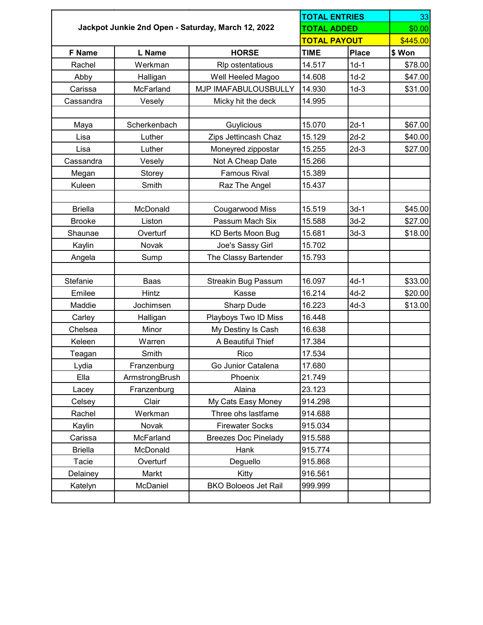|                |                |                                                    | <b>TOTAL ENTRIES</b> |              | 33       |
|----------------|----------------|----------------------------------------------------|----------------------|--------------|----------|
|                |                | Jackpot Junkie 2nd Open - Saturday, March 12, 2022 | <b>TOTAL ADDED</b>   |              | \$0.00   |
|                |                |                                                    | <b>TOTAL PAYOUT</b>  |              | \$445.00 |
| <b>F</b> Name  | L Name         | <b>HORSE</b>                                       | <b>TIME</b>          | <b>Place</b> | \$Won    |
| Rachel         | Werkman        | Rlp ostentatious                                   | 14.517               | $1d-1$       | \$78.00  |
| Abby           | Halligan       | Well Heeled Magoo                                  | 14.608               | $1d-2$       | \$47.00  |
| Carissa        | McFarland      | MJP IMAFABULOUSBULLY                               | 14.930               | $1d-3$       | \$31.00  |
| Cassandra      | Vesely         | Micky hit the deck                                 | 14.995               |              |          |
|                |                |                                                    |                      |              |          |
| Maya           | Scherkenbach   | Guylicious                                         | 15.070               | $2d-1$       | \$67.00  |
| Lisa           | Luther         | Zips Jettincash Chaz                               | 15.129               | $2d-2$       | \$40.00  |
| Lisa           | Luther         | Moneyred zippostar                                 | 15.255               | $2d-3$       | \$27.00  |
| Cassandra      | Vesely         | Not A Cheap Date                                   | 15.266               |              |          |
| Megan          | Storey         | <b>Famous Rival</b>                                | 15.389               |              |          |
| Kuleen         | Smith          | Raz The Angel                                      | 15.437               |              |          |
|                |                |                                                    |                      |              |          |
| <b>Briella</b> | McDonald       | Cougarwood Miss                                    | 15.519               | $3d-1$       | \$45.00  |
| <b>Brooke</b>  | Liston         | Passum Mach Six                                    | 15.588               | $3d-2$       | \$27.00  |
| Shaunae        | Overturf       | KD Berts Moon Bug                                  | 15.681               | $3d-3$       | \$18.00  |
| Kaylin         | Novak          | Joe's Sassy Girl                                   | 15.702               |              |          |
| Angela         | Sump           | The Classy Bartender                               | 15.793               |              |          |
|                |                |                                                    |                      |              |          |
| Stefanie       | Baas           | Streakin Bug Passum                                | 16.097               | $4d-1$       | \$33.00  |
| Emilee         | Hintz          | Kasse                                              | 16.214               | $4d-2$       | \$20.00  |
| Maddie         | Jochimsen      | Sharp Dude                                         | 16.223               | $4d-3$       | \$13.00  |
| Carley         | Halligan       | Playboys Two ID Miss                               | 16.448               |              |          |
| Chelsea        | Minor          | My Destiny Is Cash                                 | 16.638               |              |          |
| Keleen         | Warren         | A Beautiful Thief                                  | 17.384               |              |          |
| Teagan         | Smith          | Rico                                               | 17.534               |              |          |
| Lydia          | Franzenburg    | Go Junior Catalena                                 | 17.680               |              |          |
| Ella           | ArmstrongBrush | Phoenix                                            | 21.749               |              |          |
| Lacey          | Franzenburg    | Alaina                                             | 23.123               |              |          |
| Celsey         | Clair          | My Cats Easy Money                                 | 914.298              |              |          |
| Rachel         | Werkman        | Three ohs lastfame                                 | 914.688              |              |          |
| Kaylin         | Novak          | <b>Firewater Socks</b>                             | 915.034              |              |          |
| Carissa        | McFarland      | <b>Breezes Doc Pinelady</b>                        | 915.588              |              |          |
| <b>Briella</b> | McDonald       | Hank                                               | 915.774              |              |          |
| Tacie          | Overturf       | Deguello                                           | 915.868              |              |          |
| Delainey       | Markt          | Kitty                                              | 916.561              |              |          |
| Katelyn        | McDaniel       | <b>BKO Boloeos Jet Rail</b>                        | 999.999              |              |          |
|                |                |                                                    |                      |              |          |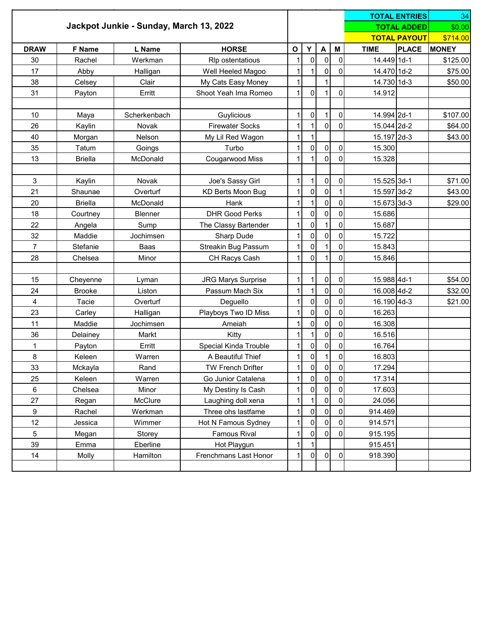|                |                |                                         |                           |              |                     |                           |                |             | <b>TOTAL ENTRIES</b> | 34           |
|----------------|----------------|-----------------------------------------|---------------------------|--------------|---------------------|---------------------------|----------------|-------------|----------------------|--------------|
|                |                | Jackpot Junkie - Sunday, March 13, 2022 |                           |              |                     |                           |                |             | <b>TOTAL ADDED</b>   | \$0.00       |
|                |                |                                         |                           |              |                     |                           |                |             | <b>TOTAL PAYOUT</b>  | \$714.00     |
| <b>DRAW</b>    | <b>F</b> Name  | L Name                                  | <b>HORSE</b>              | $\mathbf{o}$ | Y                   | $\boldsymbol{\mathsf{A}}$ | M              | <b>TIME</b> | <b>PLACE</b>         | <b>MONEY</b> |
| 30             | Rachel         | Werkman                                 | Rlp ostentatious          |              | 0                   | 0                         | $\Omega$       | 14.449 1d-1 |                      | \$125.00     |
| 17             | Abby           | Halligan                                | Well Heeled Magoo         | 1            | $\mathbf{1}$        | $\mathbf 0$               | $\mathbf 0$    | 14.470 1d-2 |                      | \$75.00      |
| 38             | Celsey         | Clair                                   | My Cats Easy Money        | 1            |                     | 1                         |                | 14.730 1d-3 |                      | \$50.00      |
| 31             | Payton         | Erritt                                  | Shoot Yeah Ima Romeo      |              | 0                   |                           | $\Omega$       | 14.912      |                      |              |
|                |                |                                         |                           |              |                     |                           |                |             |                      |              |
| 10             | Maya           | Scherkenbach                            | Guylicious                | 1            | 0                   | $\mathbf{1}$              | $\pmb{0}$      | 14.994 2d-1 |                      | \$107.00     |
| 26             | Kaylin         | Novak                                   | <b>Firewater Socks</b>    |              | 1                   | $\Omega$                  | $\mathbf{0}$   | 15.044 2d-2 |                      | \$64.00      |
| 40             | Morgan         | Nelson                                  | My Lil Red Wagon          | 1            | $\mathbf{1}$        |                           |                | 15.197 2d-3 |                      | \$43.00      |
| 35             | Tatum          | Goings                                  | Turbo                     | 1            | 0                   | 0                         | $\mathbf 0$    | 15.300      |                      |              |
| 13             | <b>Briella</b> | McDonald                                | Cougarwood Miss           |              |                     | $\Omega$                  | $\mathbf 0$    | 15.328      |                      |              |
|                |                |                                         |                           |              |                     |                           |                |             |                      |              |
| 3              | Kaylin         | Novak                                   | Joe's Sassy Girl          | $\mathbf{1}$ | 1                   | 0                         | $\mathbf 0$    | 15.525 3d-1 |                      | \$71.00      |
| 21             | Shaunae        | Overturf                                | KD Berts Moon Bug         |              | 0                   | $\mathbf 0$               |                | 15.597 3d-2 |                      | \$43.00      |
| 20             | <b>Briella</b> | McDonald                                | Hank                      | 1            | 1                   | 0                         | 0              | 15.673 3d-3 |                      | \$29.00      |
| 18             | Courtney       | <b>Blenner</b>                          | <b>DHR Good Perks</b>     |              | 0                   | $\mathbf 0$               | $\mathbf 0$    | 15.686      |                      |              |
| 22             | Angela         | Sump                                    | The Classy Bartender      |              | 0                   | 1                         | $\mathbf 0$    | 15.687      |                      |              |
| 32             | Maddie         | Jochimsen                               | Sharp Dude                | 1            | 0                   | 0                         | 0              | 15.722      |                      |              |
| $\overline{7}$ | Stefanie       | <b>Baas</b>                             | Streakin Bug Passum       |              | 0                   | 1                         | $\mathbf 0$    | 15.843      |                      |              |
| 28             | Chelsea        | Minor                                   | CH Racys Cash             | 1            | 0                   |                           | $\overline{0}$ | 15.846      |                      |              |
|                |                |                                         |                           |              |                     |                           |                |             |                      |              |
| 15             | Cheyenne       | Lyman                                   | <b>JRG Marys Surprise</b> | 1            | $\mathbf{1}$        | 0                         | 0              | 15.988 4d-1 |                      | \$54.00      |
| 24             | <b>Brooke</b>  | Liston                                  | Passum Mach Six           |              | 1                   | $\mathbf 0$               | $\mathbf 0$    | 16.008 4d-2 |                      | \$32.00      |
| 4              | Tacie          | Overturf                                | Deguello                  | 1            | $\mathsf{O}\xspace$ | 0                         | 0              | 16.190 4d-3 |                      | \$21.00      |
| 23             | Carley         | Halligan                                | Playboys Two ID Miss      | 1            | $\mathsf 0$         | $\mathbf 0$               | 0              | 16.263      |                      |              |
| 11             | Maddie         | Jochimsen                               | Ameiah                    | 1            | $\mathbf 0$         | 0                         | $\mathbf 0$    | 16.308      |                      |              |
| 36             | Delainey       | Markt                                   | Kitty                     |              | 1                   | 0                         | 0              | 16.516      |                      |              |
| $\mathbf{1}$   | Payton         | Erritt                                  | Special Kinda Trouble     | 1            | 0                   | $\mathbf 0$               | 0              | 16.764      |                      |              |
| 8              | Keleen         | Warren                                  | A Beautiful Thief         | $\mathbf{1}$ | 0                   | 1                         | $\overline{0}$ | 16.803      |                      |              |
| 33             | Mckayla        | Rand                                    | TW French Drifter         | 11           | $\pmb{0}$           | 0                         | $\pmb{0}$      | 17.294      |                      |              |
| 25             | Keleen         | Warren                                  | Go Junior Catalena        | 1            | $\mathbf 0$         | $\pmb{0}$                 | $\mathbf 0$    | 17.314      |                      |              |
| 6              | Chelsea        | Minor                                   | My Destiny Is Cash        |              | $\pmb{0}$           | 0                         | $\pmb{0}$      | 17.603      |                      |              |
| 27             | Regan          | McClure                                 | Laughing doll xena        |              | 1                   | 0                         | $\mathbf 0$    | 24.056      |                      |              |
| 9              | Rachel         | Werkman                                 | Three ohs lastfame        | 1            | $\mathsf{O}\xspace$ | $\pmb{0}$                 | 0              | 914.469     |                      |              |
| 12             | Jessica        | Wimmer                                  | Hot N Famous Sydney       |              | $\pmb{0}$           | 0                         | 0              | 914.571     |                      |              |
| 5              | Megan          | Storey                                  | Famous Rival              |              | 0                   | 0                         | 0              | 915.195     |                      |              |
| 39             | Emma           | Eberline                                | Hot Playgun               | 1            | $\mathbf{1}$        |                           |                | 915.451     |                      |              |
| 14             | Molly          | Hamilton                                | Frenchmans Last Honor     |              | $\mathsf{O}\xspace$ | $\mathbf 0$               | $\mathbf 0$    | 918.390     |                      |              |
|                |                |                                         |                           |              |                     |                           |                |             |                      |              |
|                |                |                                         |                           |              |                     |                           |                |             |                      |              |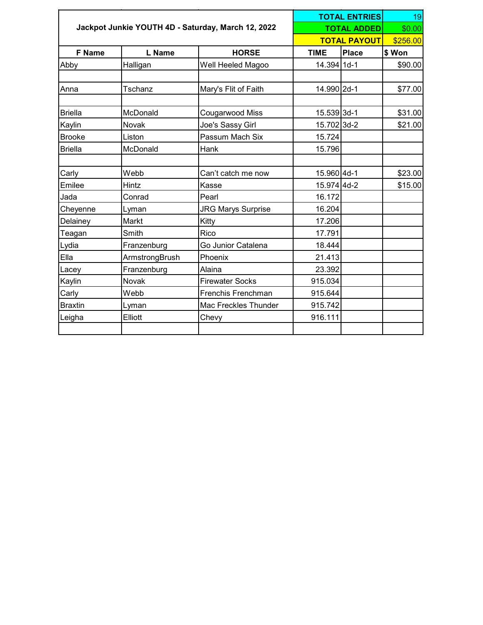|                |                |                                                    | <b>TOTAL ENTRIES</b> | 19                 |         |
|----------------|----------------|----------------------------------------------------|----------------------|--------------------|---------|
|                |                | Jackpot Junkie YOUTH 4D - Saturday, March 12, 2022 |                      | <b>TOTAL ADDED</b> | \$0.00  |
|                |                |                                                    | <b>TOTAL PAYOUT</b>  | \$256.00           |         |
| <b>F</b> Name  | L Name         | <b>HORSE</b>                                       | <b>TIME</b>          | <b>Place</b>       | \$ Won  |
| Abby           | Halligan       | Well Heeled Magoo                                  | 14.394 1d-1          |                    | \$90.00 |
|                |                |                                                    |                      |                    |         |
| Anna           | Tschanz        | Mary's Flit of Faith                               | 14.990 2d-1          |                    | \$77.00 |
| <b>Briella</b> | McDonald       | Cougarwood Miss                                    | 15.539 3d-1          |                    | \$31.00 |
| Kaylin         | Novak          | Joe's Sassy Girl                                   | 15.702 3d-2          |                    | \$21.00 |
| <b>Brooke</b>  | Liston         | Passum Mach Six                                    | 15.724               |                    |         |
| <b>Briella</b> | McDonald       | Hank                                               | 15.796               |                    |         |
|                |                |                                                    |                      |                    |         |
| Carly          | Webb           | Can't catch me now                                 | 15.960 4d-1          |                    | \$23.00 |
| Emilee         | <b>Hintz</b>   | Kasse                                              | 15.974 4d-2          |                    | \$15.00 |
| Jada           | Conrad         | Pearl                                              | 16.172               |                    |         |
| Cheyenne       | Lyman          | <b>JRG Marys Surprise</b>                          | 16.204               |                    |         |
| Delainey       | Markt          | Kitty                                              | 17.206               |                    |         |
| Teagan         | Smith          | Rico                                               | 17.791               |                    |         |
| Lydia          | Franzenburg    | Go Junior Catalena                                 | 18.444               |                    |         |
| Ella           | ArmstrongBrush | Phoenix                                            | 21.413               |                    |         |
| Lacey          | Franzenburg    | Alaina                                             | 23.392               |                    |         |
| Kaylin         | <b>Novak</b>   | <b>Firewater Socks</b>                             | 915.034              |                    |         |
| Carly          | Webb           | Frenchis Frenchman                                 | 915.644              |                    |         |
| <b>Braxtin</b> | Lyman          | Mac Freckles Thunder                               | 915.742              |                    |         |
| Leigha         | Elliott        | Chevy                                              | 916.111              |                    |         |
|                |                |                                                    |                      |                    |         |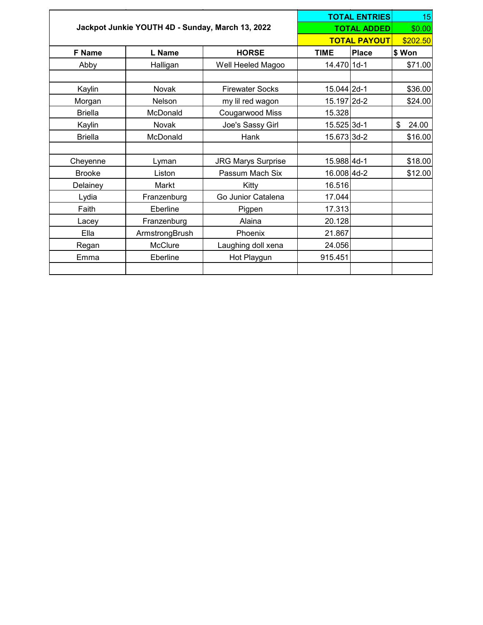|                |                                                  |                           | <b>TOTAL ENTRIES</b>   | 15       |             |
|----------------|--------------------------------------------------|---------------------------|------------------------|----------|-------------|
|                | Jackpot Junkie YOUTH 4D - Sunday, March 13, 2022 |                           | <b>TOTAL ADDED</b>     | \$0.00   |             |
|                |                                                  |                           | <b>TOTAL PAYOUT</b>    | \$202.50 |             |
| F Name         | L Name                                           | <b>HORSE</b>              | <b>TIME</b>            | Place    | \$ Won      |
| Abby           | Halligan                                         | Well Heeled Magoo         | 14.470 1d-1            |          | \$71.00     |
|                |                                                  |                           |                        |          |             |
| Kaylin         | <b>Novak</b>                                     | <b>Firewater Socks</b>    | 15.044 2d-1            |          | \$36.00     |
| Morgan         | Nelson                                           | my lil red wagon          | 15.197 <sub>2d-2</sub> |          | \$24.00     |
| <b>Briella</b> | McDonald                                         | Cougarwood Miss           | 15.328                 |          |             |
| Kaylin         | Novak                                            | Joe's Sassy Girl          | 15.525 3d-1            |          | \$<br>24.00 |
| <b>Briella</b> | McDonald                                         | Hank                      | 15.673 3d-2            |          | \$16.00     |
|                |                                                  |                           |                        |          |             |
| Cheyenne       | Lyman                                            | <b>JRG Marys Surprise</b> | 15.988 4d-1            |          | \$18.00     |
| <b>Brooke</b>  | Liston                                           | Passum Mach Six           | 16.008 4d-2            |          | \$12.00     |
| Delainey       | Markt                                            | Kitty                     | 16.516                 |          |             |
| Lydia          | Franzenburg                                      | Go Junior Catalena        | 17.044                 |          |             |
| Faith          | Eberline                                         | Pigpen                    | 17.313                 |          |             |
| Lacey          | Franzenburg                                      | Alaina                    | 20.128                 |          |             |
| Ella           | ArmstrongBrush                                   | Phoenix                   | 21.867                 |          |             |
| Regan          | McClure                                          | Laughing doll xena        | 24.056                 |          |             |
| Emma           | Eberline                                         | Hot Playgun               | 915.451                |          |             |
|                |                                                  |                           |                        |          |             |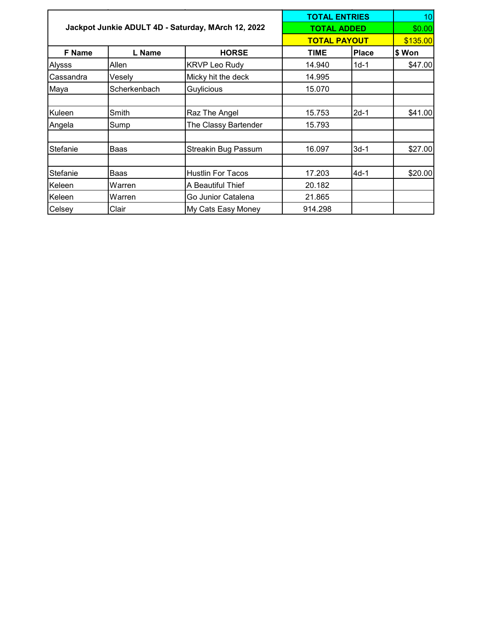|                 |                                                    | <b>TOTAL ENTRIES</b>       |                     | 10     |          |
|-----------------|----------------------------------------------------|----------------------------|---------------------|--------|----------|
|                 | Jackpot Junkie ADULT 4D - Saturday, MArch 12, 2022 | <b>TOTAL ADDED</b>         |                     | \$0.00 |          |
|                 |                                                    |                            | <b>TOTAL PAYOUT</b> |        | \$135.00 |
| F Name          | L Name                                             | <b>HORSE</b>               | TIME                | Place  | \$ Won   |
| Alysss          | Allen                                              | <b>KRVP Leo Rudy</b>       | 14.940              | $1d-1$ | \$47.00  |
| Cassandra       | Vesely                                             | Micky hit the deck         | 14.995              |        |          |
| Maya            | Scherkenbach                                       | Guylicious                 | 15.070              |        |          |
| Kuleen          | Smith                                              | Raz The Angel              | 15.753              | $2d-1$ | \$41.00  |
| Angela          | Sump                                               | The Classy Bartender       | 15.793              |        |          |
| Stefanie        | Baas                                               | <b>Streakin Bug Passum</b> | 16.097              | $3d-1$ | \$27.00  |
| <b>Stefanie</b> | Baas                                               | <b>Hustlin For Tacos</b>   | 17.203              | $4d-1$ | \$20.00  |
| Keleen          | Warren                                             | A Beautiful Thief          | 20.182              |        |          |
| Keleen          | Warren                                             | Go Junior Catalena         | 21.865              |        |          |
| Celsey          | Clair                                              | My Cats Easy Money         | 914.298             |        |          |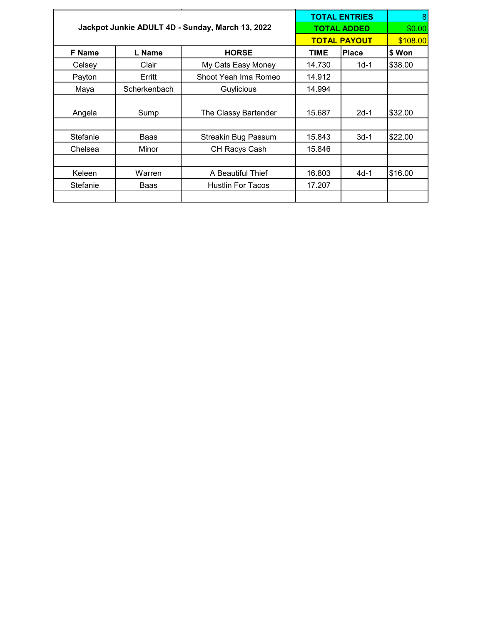|                         | Jackpot Junkie ADULT 4D - Sunday, March 13, 2022 |                            | <b>TOTAL ENTRIES</b><br><b>TOTAL ADDED</b> |              |         |
|-------------------------|--------------------------------------------------|----------------------------|--------------------------------------------|--------------|---------|
|                         |                                                  |                            | <b>TOTAL PAYOUT</b>                        | \$108.00     |         |
| <b>F</b> Name           | L Name                                           | <b>HORSE</b>               | TIME                                       | <b>Place</b> | \$ Won  |
| Celsey                  | Clair                                            | My Cats Easy Money         | 14.730                                     | $1d-1$       | \$38.00 |
| Payton                  | Erritt                                           | Shoot Yeah Ima Romeo       | 14.912                                     |              |         |
| Maya                    | Scherkenbach                                     | Guylicious                 | 14.994                                     |              |         |
|                         |                                                  |                            |                                            |              |         |
| Angela                  | Sump                                             | The Classy Bartender       | 15.687                                     | $2d-1$       | \$32.00 |
|                         |                                                  |                            |                                            |              |         |
| Stefanie                | Baas                                             | <b>Streakin Bug Passum</b> | 15.843                                     | $3d-1$       | \$22.00 |
| Chelsea                 | Minor                                            | CH Racys Cash              | 15.846                                     |              |         |
|                         |                                                  |                            |                                            |              |         |
| Keleen                  | Warren<br>A Beautiful Thief                      |                            | 16.803                                     | $4d-1$       | \$16.00 |
| <b>Stefanie</b><br>Baas |                                                  | <b>Hustlin For Tacos</b>   | 17.207                                     |              |         |
|                         |                                                  |                            |                                            |              |         |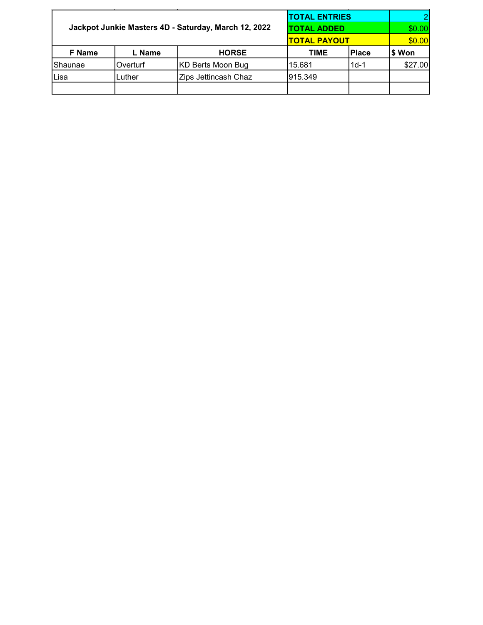|                |                                                      |                      | <b>TOTAL ENTRIES</b><br><b>TOTAL ADDED</b><br><b>TOTAL PAYOUT</b> |              |         |
|----------------|------------------------------------------------------|----------------------|-------------------------------------------------------------------|--------------|---------|
|                | Jackpot Junkie Masters 4D - Saturday, March 12, 2022 |                      |                                                                   |              |         |
|                |                                                      |                      |                                                                   |              |         |
| <b>F</b> Name  | L Name                                               | <b>HORSE</b>         | TIME                                                              | <b>Place</b> | \$ Won  |
| <b>Shaunae</b> | Overturf                                             | KD Berts Moon Bug    | 15.681                                                            | $1d-1$       | \$27.00 |
| Lisa           | Luther                                               | Zips Jettincash Chaz | 915.349                                                           |              |         |
|                |                                                      |                      |                                                                   |              |         |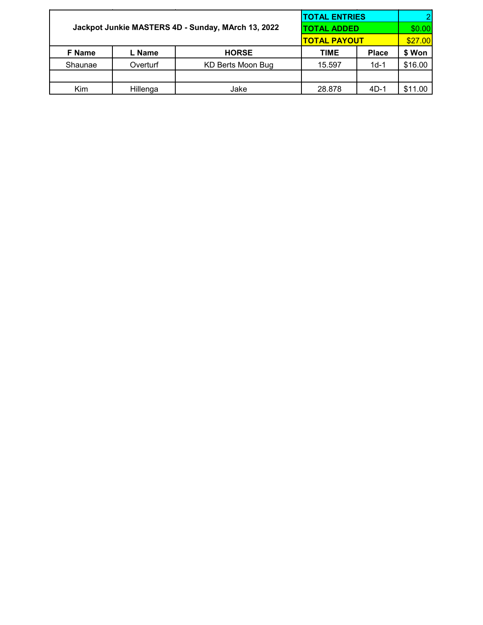|               |          | Jackpot Junkie MASTERS 4D - Sunday, MArch 13, 2022 | <b>TOTAL ENTRIES</b><br><b>TOTAL ADDED</b> |              | \$0.00  |
|---------------|----------|----------------------------------------------------|--------------------------------------------|--------------|---------|
|               |          | <b>TOTAL PAYOUT</b>                                |                                            | \$27.00      |         |
| <b>F</b> Name | L Name   | <b>HORSE</b>                                       | TIME                                       | <b>Place</b> |         |
| Shaunae       | Overturf | KD Berts Moon Bug                                  | 15.597                                     | $1d-1$       |         |
|               |          |                                                    |                                            |              |         |
| Kim           | Hillenga | Jake                                               | 28.878                                     | $4D-1$       | \$11.00 |